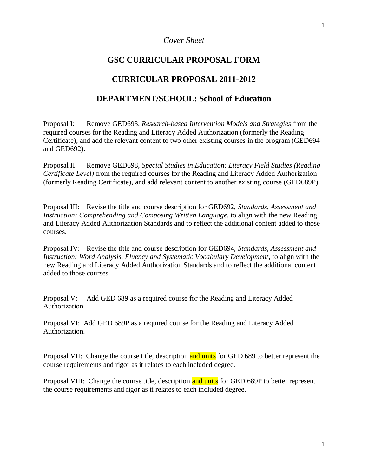# *Cover Sheet*

# **GSC CURRICULAR PROPOSAL FORM**

# **CURRICULAR PROPOSAL 2011-2012**

# **DEPARTMENT/SCHOOL: School of Education**

Proposal I: Remove GED693, *Research-based Intervention Models and Strategies* from the required courses for the Reading and Literacy Added Authorization (formerly the Reading Certificate), and add the relevant content to two other existing courses in the program (GED694 and GED692).

Proposal II: Remove GED698, *Special Studies in Education: Literacy Field Studies (Reading Certificate Level)* from the required courses for the Reading and Literacy Added Authorization (formerly Reading Certificate), and add relevant content to another existing course (GED689P).

Proposal III: Revise the title and course description for GED692, *Standards, Assessment and Instruction: Comprehending and Composing Written Language,* to align with the new Reading and Literacy Added Authorization Standards and to reflect the additional content added to those courses.

Proposal IV: Revise the title and course description for GED694, *Standards, Assessment and Instruction: Word Analysis, Fluency and Systematic Vocabulary Development*, to align with the new Reading and Literacy Added Authorization Standards and to reflect the additional content added to those courses.

Proposal V: Add GED 689 as a required course for the Reading and Literacy Added Authorization.

Proposal VI: Add GED 689P as a required course for the Reading and Literacy Added Authorization.

Proposal VII: Change the course title, description and units for GED 689 to better represent the course requirements and rigor as it relates to each included degree.

Proposal VIII: Change the course title, description and units for GED 689P to better represent the course requirements and rigor as it relates to each included degree.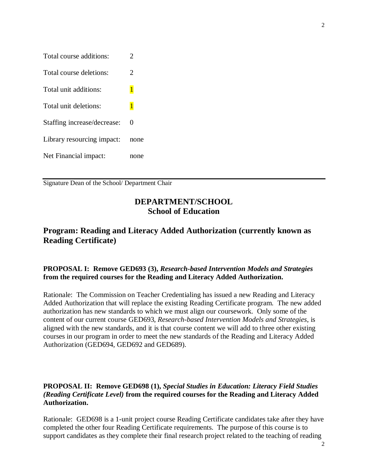| Total course additions:     | $\overline{2}$ |
|-----------------------------|----------------|
| Total course deletions:     | 2              |
| Total unit additions:       | $\mathbf{1}$   |
| Total unit deletions:       | $\overline{1}$ |
| Staffing increase/decrease: | 0              |
| Library resourcing impact:  | none           |
| Net Financial impact:       | none           |

Signature Dean of the School/ Department Chair

# **DEPARTMENT/SCHOOL School of Education**

# **Program: Reading and Literacy Added Authorization (currently known as Reading Certificate)**

## **PROPOSAL I: Remove GED693 (3),** *Research-based Intervention Models and Strategies* **from the required courses for the Reading and Literacy Added Authorization.**

Rationale: The Commission on Teacher Credentialing has issued a new Reading and Literacy Added Authorization that will replace the existing Reading Certificate program. The new added authorization has new standards to which we must align our coursework. Only some of the content of our current course GED693, *Research-based Intervention Models and Strategies*, is aligned with the new standards, and it is that course content we will add to three other existing courses in our program in order to meet the new standards of the Reading and Literacy Added Authorization (GED694, GED692 and GED689).

## **PROPOSAL II: Remove GED698 (1),** *Special Studies in Education: Literacy Field Studies (Reading Certificate Level)* **from the required courses for the Reading and Literacy Added Authorization.**

Rationale: GED698 is a 1-unit project course Reading Certificate candidates take after they have completed the other four Reading Certificate requirements. The purpose of this course is to support candidates as they complete their final research project related to the teaching of reading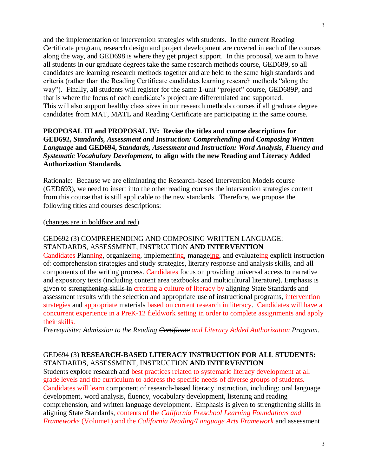and the implementation of intervention strategies with students. In the current Reading Certificate program, research design and project development are covered in each of the courses along the way, and GED698 is where they get project support. In this proposal, we aim to have all students in our graduate degrees take the same research methods course, GED689, so all candidates are learning research methods together and are held to the same high standards and criteria (rather than the Reading Certificate candidates learning research methods "along the way"). Finally, all students will register for the same 1-unit "project" course, GED689P, and that is where the focus of each candidate's project are differentiated and supported. This will also support healthy class sizes in our research methods courses if all graduate degree candidates from MAT, MATL and Reading Certificate are participating in the same course.

### **PROPOSAL III and PROPOSAL IV: Revise the titles and course descriptions for GED692,** *Standards, Assessment and Instruction: Comprehending and Composing Written Language* **and GED694,** *Standards, Assessment and Instruction: Word Analysis, Fluency and Systematic Vocabulary Development,* **to align with the new Reading and Literacy Added Authorization Standards.**

Rationale: Because we are eliminating the Research-based Intervention Models course (GED693), we need to insert into the other reading courses the intervention strategies content from this course that is still applicable to the new standards. Therefore, we propose the following titles and courses descriptions:

#### (changes are in boldface and red)

### GED692 (3) COMPREHENDING AND COMPOSING WRITTEN LANGUAGE: STANDARDS, ASSESSMENT, INSTRUCTION **AND INTERVENTION**

Candidates Planning, organizeing, implementing, manageing, and evaluateing explicit instruction of: comprehension strategies and study strategies, literary response and analysis skills, and all components of the writing process. Candidates focus on providing universal access to narrative and expository texts (including content area textbooks and multicultural literature). Emphasis is given to strengthening skills in creating a culture of literacy by aligning State Standards and assessment results with the selection and appropriate use of instructional programs, intervention strategies and appropriate materials based on current research in literacy. Candidates will have a concurrent experience in a PreK-12 fieldwork setting in order to complete assignments and apply their skills.

*Prerequisite: Admission to the Reading Certificate and Literacy Added Authorization Program.*

## GED694 (3) **RESEARCH-BASED LITERACY INSTRUCTION FOR ALL STUDENTS:**  STANDARDS, ASSESSMENT, INSTRUCTION **AND INTERVENTION**

Students explore research and best practices related to systematic literacy development at all grade levels and the curriculum to address the specific needs of diverse groups of students. Candidates will learn component of research-based literacy instruction, including: oral language development*,* word analysis*,* fluency*,* vocabulary development, listening and reading comprehension, and written language development. Emphasis is given to strengthening skills in aligning State Standards, contents of the *California Preschool Learning Foundations and Frameworks* (Volume1) and the *California Reading/Language Arts Framework* and assessment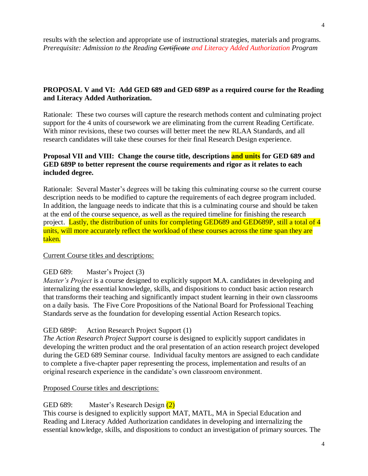results with the selection and appropriate use of instructional strategies, materials and programs. *Prerequisite: Admission to the Reading Certificate and Literacy Added Authorization Program*

## **PROPOSAL V and VI: Add GED 689 and GED 689P as a required course for the Reading and Literacy Added Authorization.**

Rationale: These two courses will capture the research methods content and culminating project support for the 4 units of coursework we are eliminating from the current Reading Certificate. With minor revisions, these two courses will better meet the new RLAA Standards, and all research candidates will take these courses for their final Research Design experience.

## **Proposal VII and VIII: Change the course title, descriptions and units for GED 689 and GED 689P to better represent the course requirements and rigor as it relates to each included degree.**

Rationale: Several Master's degrees will be taking this culminating course so the current course description needs to be modified to capture the requirements of each degree program included. In addition, the language needs to indicate that this is a culminating course and should be taken at the end of the course sequence, as well as the required timeline for finishing the research project. Lastly, the distribution of units for completing GED689 and GED689P, still a total of 4 units, will more accurately reflect the workload of these courses across the time span they are taken.

### Current Course titles and descriptions:

#### GED 689: Master's Project (3)

*Master's Project* is a course designed to explicitly support M.A. candidates in developing and internalizing the essential knowledge, skills, and dispositions to conduct basic action research that transforms their teaching and significantly impact student learning in their own classrooms on a daily basis. The Five Core Propositions of the National Board for Professional Teaching Standards serve as the foundation for developing essential Action Research topics.

### GED 689P: Action Research Project Support (1)

*The Action Research Project Support* course is designed to explicitly support candidates in developing the written product and the oral presentation of an action research project developed during the GED 689 Seminar course. Individual faculty mentors are assigned to each candidate to complete a five-chapter paper representing the process, implementation and results of an original research experience in the candidate's own classroom environment.

#### Proposed Course titles and descriptions:

### GED 689: Master's Research Design (2)

This course is designed to explicitly support MAT, MATL, MA in Special Education and Reading and Literacy Added Authorization candidates in developing and internalizing the essential knowledge, skills, and dispositions to conduct an investigation of primary sources. The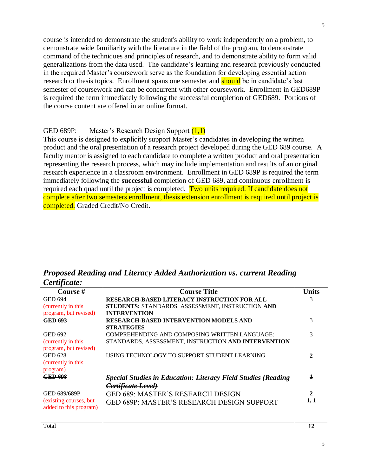course is intended to demonstrate the student's ability to work independently on a problem, to demonstrate wide familiarity with the literature in the field of the program, to demonstrate command of the techniques and principles of research, and to demonstrate ability to form valid generalizations from the data used. The candidate's learning and research previously conducted in the required Master's coursework serve as the foundation for developing essential action research or thesis topics. Enrollment spans one semester and **should** be in candidate's last semester of coursework and can be concurrent with other coursework. Enrollment in GED689P is required the term immediately following the successful completion of GED689. Portions of the course content are offered in an online format.

## GED 689P: Master's Research Design Support (1,1)

This course is designed to explicitly support Master's candidates in developing the written product and the oral presentation of a research project developed during the GED 689 course. A faculty mentor is assigned to each candidate to complete a written product and oral presentation representing the research process, which may include implementation and results of an original research experience in a classroom environment. Enrollment in GED 689P is required the term immediately following the **successful** completion of GED 689, and continuous enrollment is required each quad until the project is completed. Two units required. If candidate does not complete after two semesters enrollment, thesis extension enrollment is required until project is completed. Graded Credit/No Credit.

*Proposed Reading and Literacy Added Authorization vs. current Reading Certificate:*

| Course #               | <b>Course Title</b>                                                  | <b>Units</b>            |
|------------------------|----------------------------------------------------------------------|-------------------------|
| <b>GED 694</b>         | <b>RESEARCH-BASED LITERACY INSTRUCTION FOR ALL</b>                   | 3                       |
| (currently in this     | STUDENTS: STANDARDS, ASSESSMENT, INSTRUCTION AND                     |                         |
| program, but revised)  | <b>INTERVENTION</b>                                                  |                         |
| <b>GED 693</b>         | RESEARCH-BASED INTERVENTION MODELS AND                               | $\overline{\mathbf{z}}$ |
|                        | <b>STRATEGIES</b>                                                    |                         |
| <b>GED 692</b>         | COMPREHENDING AND COMPOSING WRITTEN LANGUAGE:                        | 3                       |
| (currently in this     | STANDARDS, ASSESSMENT, INSTRUCTION AND INTERVENTION                  |                         |
| program, but revised)  |                                                                      |                         |
| <b>GED 628</b>         | USING TECHNOLOGY TO SUPPORT STUDENT LEARNING                         | $\mathbf{2}$            |
| (currently in this     |                                                                      |                         |
| program)               |                                                                      |                         |
| <b>GED 698</b>         | <b>Special Studies in Education: Literacy Field Studies (Reading</b> | $\overline{\mathbf{1}}$ |
|                        | <del>Certificate Level)</del>                                        |                         |
| GED 689/689P           | <b>GED 689: MASTER'S RESEARCH DESIGN</b>                             | $\mathbf{2}$            |
| (existing courses, but | <b>GED 689P: MASTER'S RESEARCH DESIGN SUPPORT</b>                    | 1, 1                    |
| added to this program) |                                                                      |                         |
|                        |                                                                      |                         |
| Total                  |                                                                      | 12                      |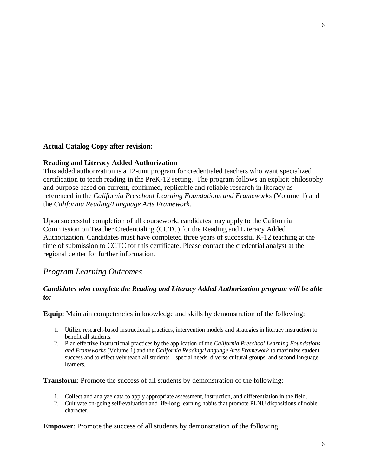### **Actual Catalog Copy after revision:**

### **Reading and Literacy Added Authorization**

This added authorization is a 12-unit program for credentialed teachers who want specialized certification to teach reading in the PreK-12 setting. The program follows an explicit philosophy and purpose based on current, confirmed, replicable and reliable research in literacy as referenced in the *California Preschool Learning Foundations and Frameworks* (Volume 1) and the *California Reading/Language Arts Framework*.

Upon successful completion of all coursework, candidates may apply to the California Commission on Teacher Credentialing (CCTC) for the Reading and Literacy Added Authorization. Candidates must have completed three years of successful K-12 teaching at the time of submission to CCTC for this certificate. Please contact the credential analyst at the regional center for further information.

# *Program Learning Outcomes*

## *Candidates who complete the Reading and Literacy Added Authorization program will be able to:*

**Equip**: Maintain competencies in knowledge and skills by demonstration of the following:

- 1. Utilize research-based instructional practices, intervention models and strategies in literacy instruction to benefit all students.
- 2. Plan effective instructional practices by the application of the *California Preschool Learning Foundations and Frameworks* (Volume 1) and the *California Reading/Language Arts Framework* to maximize student success and to effectively teach all students – special needs, diverse cultural groups, and second language learners.

**Transform**: Promote the success of all students by demonstration of the following:

- 1. Collect and analyze data to apply appropriate assessment, instruction, and differentiation in the field.
- 2. Cultivate on-going self-evaluation and life-long learning habits that promote PLNU dispositions of noble character.

**Empower:** Promote the success of all students by demonstration of the following: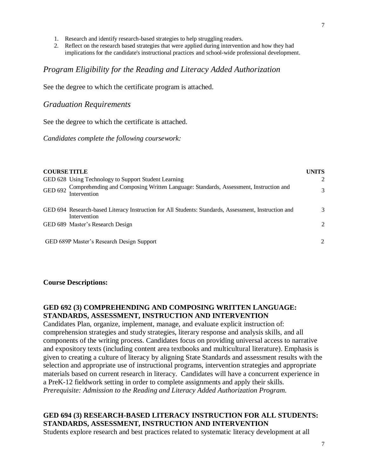- 1. Research and identify research-based strategies to help struggling readers.
- 2. Reflect on the research based strategies that were applied during intervention and how they had implications for the candidate's instructional practices and school-wide professional development.

### *Program Eligibility for the Reading and Literacy Added Authorization*

See the degree to which the certificate program is attached.

#### *Graduation Requirements*

See the degree to which the certificate is attached.

*Candidates complete the following coursework:*

| <b>COURSE TITLE</b> |                                                                                                                                           | <b>UNITS</b>   |
|---------------------|-------------------------------------------------------------------------------------------------------------------------------------------|----------------|
|                     | GED 628 Using Technology to Support Student Learning                                                                                      | $\mathfrak{D}$ |
|                     | Comprehending and Composing Written Language: Standards, Assessment, Instruction and<br>GED 692 $\frac{\text{Comp}}{\text{Intervention}}$ | 3              |
|                     | GED 694 Research-based Literacy Instruction for All Students: Standards, Assessment, Instruction and<br>Intervention                      | 3              |
|                     | GED 689 Master's Research Design                                                                                                          | $\mathcal{L}$  |
|                     | GED 689P Master's Research Design Support                                                                                                 | 2              |

#### **Course Descriptions:**

# **GED 692 (3) COMPREHENDING AND COMPOSING WRITTEN LANGUAGE: STANDARDS, ASSESSMENT, INSTRUCTION AND INTERVENTION**

Candidates Plan, organize, implement, manage, and evaluate explicit instruction of: comprehension strategies and study strategies, literary response and analysis skills, and all components of the writing process. Candidates focus on providing universal access to narrative and expository texts (including content area textbooks and multicultural literature). Emphasis is given to creating a culture of literacy by aligning State Standards and assessment results with the selection and appropriate use of instructional programs, intervention strategies and appropriate materials based on current research in literacy. Candidates will have a concurrent experience in a PreK-12 fieldwork setting in order to complete assignments and apply their skills. *Prerequisite: Admission to the Reading and Literacy Added Authorization Program.*

## **GED 694 (3) RESEARCH-BASED LITERACY INSTRUCTION FOR ALL STUDENTS: STANDARDS, ASSESSMENT, INSTRUCTION AND INTERVENTION**

Students explore research and best practices related to systematic literacy development at all